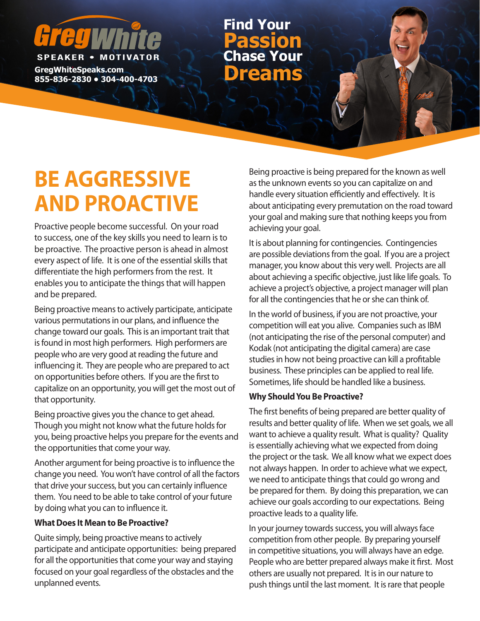# **SPEAKER • MOTIV**

**GregWhiteSpeaks.com**

**855-836-2830 • 304-400-4703 Dreams Chase Your Passion Find Your**

# **BE AGGRESSIVE AND PROACTIVE**

Proactive people become successful. On your road to success, one of the key skills you need to learn is to be proactive. The proactive person is ahead in almost every aspect of life. It is one of the essential skills that differentiate the high performers from the rest. It enables you to anticipate the things that will happen and be prepared.

Being proactive means to actively participate, anticipate various permutations in our plans, and influence the change toward our goals. This is an important trait that is found in most high performers. High performers are people who are very good at reading the future and influencing it. They are people who are prepared to act on opportunities before others. If you are the first to capitalize on an opportunity, you will get the most out of that opportunity.

Being proactive gives you the chance to get ahead. Though you might not know what the future holds for you, being proactive helps you prepare for the events and the opportunities that come your way.

Another argument for being proactive is to influence the change you need. You won't have control of all the factors that drive your success, but you can certainly influence them. You need to be able to take control of your future by doing what you can to influence it.

## **What Does It Mean to Be Proactive?**

Quite simply, being proactive means to actively participate and anticipate opportunities: being prepared for all the opportunities that come your way and staying focused on your goal regardless of the obstacles and the unplanned events.

Being proactive is being prepared for the known as well as the unknown events so you can capitalize on and handle every situation efficiently and effectively. It is about anticipating every premutation on the road toward your goal and making sure that nothing keeps you from achieving your goal.

It is about planning for contingencies. Contingencies are possible deviations from the goal. If you are a project manager, you know about this very well. Projects are all about achieving a specific objective, just like life goals. To achieve a project's objective, a project manager will plan for all the contingencies that he or she can think of.

In the world of business, if you are not proactive, your competition will eat you alive. Companies such as IBM (not anticipating the rise of the personal computer) and Kodak (not anticipating the digital camera) are case studies in how not being proactive can kill a profitable business. These principles can be applied to real life. Sometimes, life should be handled like a business.

## **Why Should You Be Proactive?**

The first benefits of being prepared are better quality of results and better quality of life. When we set goals, we all want to achieve a quality result. What is quality? Quality is essentially achieving what we expected from doing the project or the task. We all know what we expect does not always happen. In order to achieve what we expect, we need to anticipate things that could go wrong and be prepared for them. By doing this preparation, we can achieve our goals according to our expectations. Being proactive leads to a quality life.

In your journey towards success, you will always face competition from other people. By preparing yourself in competitive situations, you will always have an edge. People who are better prepared always make it first. Most others are usually not prepared. It is in our nature to push things until the last moment. It is rare that people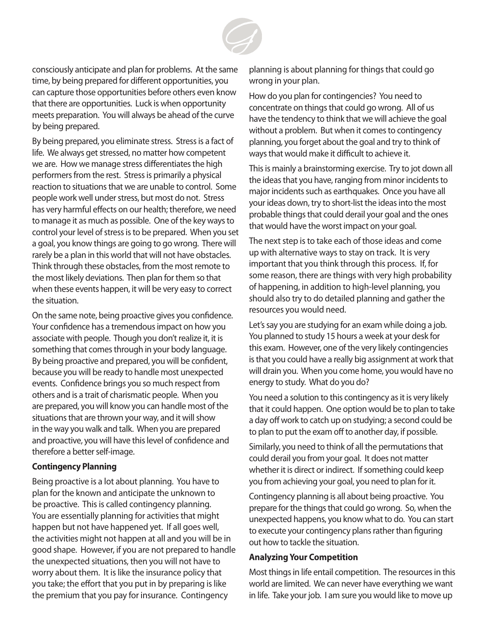

consciously anticipate and plan for problems. At the same time, by being prepared for different opportunities, you can capture those opportunities before others even know that there are opportunities. Luck is when opportunity meets preparation. You will always be ahead of the curve by being prepared.

By being prepared, you eliminate stress. Stress is a fact of life. We always get stressed, no matter how competent we are. How we manage stress differentiates the high performers from the rest. Stress is primarily a physical reaction to situations that we are unable to control. Some people work well under stress, but most do not. Stress has very harmful effects on our health; therefore, we need to manage it as much as possible. One of the key ways to control your level of stress is to be prepared. When you set a goal, you know things are going to go wrong. There will rarely be a plan in this world that will not have obstacles. Think through these obstacles, from the most remote to the most likely deviations. Then plan for them so that when these events happen, it will be very easy to correct the situation.

On the same note, being proactive gives you confidence. Your confidence has a tremendous impact on how you associate with people. Though you don't realize it, it is something that comes through in your body language. By being proactive and prepared, you will be confident, because you will be ready to handle most unexpected events. Confidence brings you so much respect from others and is a trait of charismatic people. When you are prepared, you will know you can handle most of the situations that are thrown your way, and it will show in the way you walk and talk. When you are prepared and proactive, you will have this level of confidence and therefore a better self-image.

#### **Contingency Planning**

Being proactive is a lot about planning. You have to plan for the known and anticipate the unknown to be proactive. This is called contingency planning. You are essentially planning for activities that might happen but not have happened yet. If all goes well, the activities might not happen at all and you will be in good shape. However, if you are not prepared to handle the unexpected situations, then you will not have to worry about them. It is like the insurance policy that you take; the effort that you put in by preparing is like the premium that you pay for insurance. Contingency

planning is about planning for things that could go wrong in your plan.

How do you plan for contingencies? You need to concentrate on things that could go wrong. All of us have the tendency to think that we will achieve the goal without a problem. But when it comes to contingency planning, you forget about the goal and try to think of ways that would make it difficult to achieve it.

This is mainly a brainstorming exercise. Try to jot down all the ideas that you have, ranging from minor incidents to major incidents such as earthquakes. Once you have all your ideas down, try to short-list the ideas into the most probable things that could derail your goal and the ones that would have the worst impact on your goal.

The next step is to take each of those ideas and come up with alternative ways to stay on track. It is very important that you think through this process. If, for some reason, there are things with very high probability of happening, in addition to high-level planning, you should also try to do detailed planning and gather the resources you would need.

Let's say you are studying for an exam while doing a job. You planned to study 15 hours a week at your desk for this exam. However, one of the very likely contingencies is that you could have a really big assignment at work that will drain you. When you come home, you would have no energy to study. What do you do?

You need a solution to this contingency as it is very likely that it could happen. One option would be to plan to take a day off work to catch up on studying; a second could be to plan to put the exam off to another day, if possible.

Similarly, you need to think of all the permutations that could derail you from your goal. It does not matter whether it is direct or indirect. If something could keep you from achieving your goal, you need to plan for it.

Contingency planning is all about being proactive. You prepare for the things that could go wrong. So, when the unexpected happens, you know what to do. You can start to execute your contingency plans rather than figuring out how to tackle the situation.

#### **Analyzing Your Competition**

Most things in life entail competition. The resources in this world are limited. We can never have everything we want in life. Take your job. I am sure you would like to move up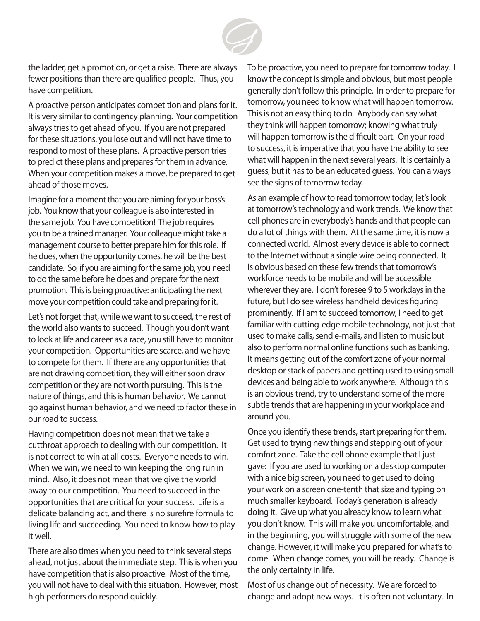

the ladder, get a promotion, or get a raise. There are always fewer positions than there are qualified people. Thus, you have competition.

A proactive person anticipates competition and plans for it. It is very similar to contingency planning. Your competition always tries to get ahead of you. If you are not prepared for these situations, you lose out and will not have time to respond to most of these plans. A proactive person tries to predict these plans and prepares for them in advance. When your competition makes a move, be prepared to get ahead of those moves.

Imagine for a moment that you are aiming for your boss's job. You know that your colleague is also interested in the same job. You have competition! The job requires you to be a trained manager. Your colleague might take a management course to better prepare him for this role. If he does, when the opportunity comes, he will be the best candidate. So, if you are aiming for the same job, you need to do the same before he does and prepare for the next promotion. This is being proactive: anticipating the next move your competition could take and preparing for it.

Let's not forget that, while we want to succeed, the rest of the world also wants to succeed. Though you don't want to look at life and career as a race, you still have to monitor your competition. Opportunities are scarce, and we have to compete for them. If there are any opportunities that are not drawing competition, they will either soon draw competition or they are not worth pursuing. This is the nature of things, and this is human behavior. We cannot go against human behavior, and we need to factor these in our road to success.

Having competition does not mean that we take a cutthroat approach to dealing with our competition. It is not correct to win at all costs. Everyone needs to win. When we win, we need to win keeping the long run in mind. Also, it does not mean that we give the world away to our competition. You need to succeed in the opportunities that are critical for your success. Life is a delicate balancing act, and there is no surefire formula to living life and succeeding. You need to know how to play it well.

There are also times when you need to think several steps ahead, not just about the immediate step. This is when you have competition that is also proactive. Most of the time, you will not have to deal with this situation. However, most high performers do respond quickly.

To be proactive, you need to prepare for tomorrow today. I know the concept is simple and obvious, but most people generally don't follow this principle. In order to prepare for tomorrow, you need to know what will happen tomorrow. This is not an easy thing to do. Anybody can say what they think will happen tomorrow; knowing what truly will happen tomorrow is the difficult part. On your road to success, it is imperative that you have the ability to see what will happen in the next several years. It is certainly a guess, but it has to be an educated guess. You can always see the signs of tomorrow today.

As an example of how to read tomorrow today, let's look at tomorrow's technology and work trends. We know that cell phones are in everybody's hands and that people can do a lot of things with them. At the same time, it is now a connected world. Almost every device is able to connect to the Internet without a single wire being connected. It is obvious based on these few trends that tomorrow's workforce needs to be mobile and will be accessible wherever they are. I don't foresee 9 to 5 workdays in the future, but I do see wireless handheld devices figuring prominently. If I am to succeed tomorrow, I need to get familiar with cutting-edge mobile technology, not just that used to make calls, send e-mails, and listen to music but also to perform normal online functions such as banking. It means getting out of the comfort zone of your normal desktop or stack of papers and getting used to using small devices and being able to work anywhere. Although this is an obvious trend, try to understand some of the more subtle trends that are happening in your workplace and around you.

Once you identify these trends, start preparing for them. Get used to trying new things and stepping out of your comfort zone. Take the cell phone example that I just gave: If you are used to working on a desktop computer with a nice big screen, you need to get used to doing your work on a screen one-tenth that size and typing on much smaller keyboard. Today's generation is already doing it. Give up what you already know to learn what you don't know. This will make you uncomfortable, and in the beginning, you will struggle with some of the new change. However, it will make you prepared for what's to come. When change comes, you will be ready. Change is the only certainty in life.

Most of us change out of necessity. We are forced to change and adopt new ways. It is often not voluntary. In